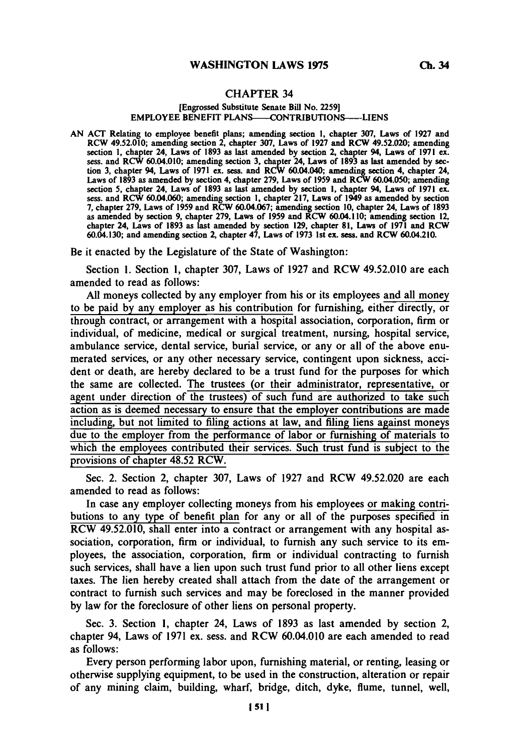## **CHAPTER 34**

## [Engrossed **Substitute Senate Bill No. 2259]** EMPLOYEE **BENEFIT** PLANS-CONTRIBUTIONS--LIENS

**AN ACT** Relating to employee benefit plans; amending section **1,** chapter **307,** Laws of **1927** and RCW 49.52.010; amending section 2, chapter **307,** Laws of **1927** and RCW 49.52.020; amending section **1,** chapter 24, Laws of **1893** as last amended **by** section 2, chapter 94, Laws of **1971** ex. sess. and RCW 60.04.010; amending section **3,** chapter 24, Laws of **1893** as last amended **by** sec tion **3,** chapter 94, Laws of **1971** ex. sess. and RCW 60.04.040; amending section 4, chapter 24, Laws of **1893** as amended **by** section 4, chapter **279,** Laws of **1959** and RCW 60.04.050; amending section **5,** chapter 24, Laws of **1893** as last amended **by** section **1,** chapter 94, Laws of **1971** ex. sess. and RCW 60.04.060; amending section **1,** chapter **217,** Laws of 1949 as amended **by** section 7, chapter 279, Laws of 1959 and RCW 60.04.067; amending section 10, chapter 24, Laws of 1893<br>as amended by section 9, chapter 279, Laws of 1959 and RCW 60.04.110; amending section 12, chapter 24, Laws of **1893** as last amended **by** section **129,** chapter **81,** Laws of **1971** and RCW 60.04.130; and amending section 2, chapter 47, Laws of 1973 1st ex. sess. and RCW 60.04.210

Be it enacted **by** the Legislature of the State of Washington:

Section **1.** Section **1,** chapter **307,** Laws of **1927** and RCW 49.52.010 are each amended to read as follows:

**All** moneys collected **by** any employer from his or its employees and all money to be paid **by** any employer as his contribution for furnishing, either directly, or through contract, or arrangement with a hospital association, corporation, firm or individual, of medicine, medical or surgical treatment, nursing, hospital service, ambulance service, dental service, burial service, or any or all of the above enumerated services, or any other necessary service, contingent upon sickness, accident or death, are hereby declared to be a trust fund for the purposes for which the same are collected. The trustees (or their administrator, representative, or agent under direction of the trustees) of such fund are authorized to take such action as is deemed necessary to ensure that the employer contributions are made including, but not limited to filing actions at law, and filing liens against moneys due to the employer from the performance of labor or furnishing of materials to which the employees contributed their services. Such trust fund is subject to the provisions of chapter 48.52 RCW.

Sec. 2. Section 2, chapter **307,** Laws of **1927** and RCW 49.52.020 are each amended to read as follows:

In case any employer collecting moneys from his employees or making contributions to any type of benefit plan for any or all of the purposes specified in RCW 49.52.010, shall enter into a contract or arrangement with any hospital association, corporation, firm or individual, to furnish any such service to its employees, the association, corporation, firm or individual contracting to furnish such services, shall have a lien upon such trust fund prior to all other liens except taxes. The lien hereby created shall attach from the date of the arrangement or contract to furnish such services and may be foreclosed in the manner provided **by** law for the foreclosure of other liens on personal property.

Sec. **3.** Section **1,** chapter 24, Laws of **1893** as last amended **by** section 2, chapter 94, Laws of **1971** ex. sess. and RCW 60.04.010 are each amended to read as follows:

Every person performing labor upon, furnishing material, or renting, leasing or otherwise supplying equipment, to be used in the construction, alteration or repair of any mining claim, building, wharf, bridge, ditch, dyke, flume, tunnel, well,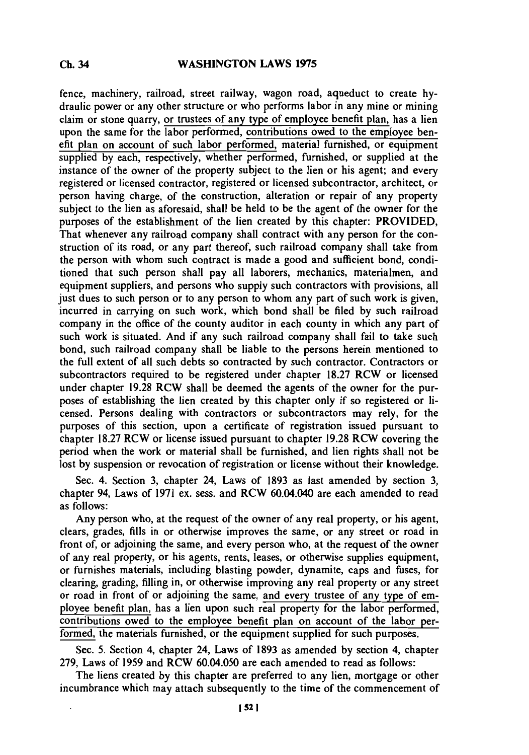fence, machinery, railroad, street railway, wagon road, aqueduct to create **hy**draulic power or any other structure or who performs labor in any mine or mining claim or stone quarry, or trustees of any type of employee benefit plan, has a lien upon the same for the labor performed, contributions owed to the employee benefit plan on account of such labor performed, material furnished, or equipment supplied **by** each, respectively, whether performed, furnished, or supplied at the instance of the owner of the property subject to the lien or his agent; and every registered or licensed contractor, registered or licensed subcontractor, architect, or person having charge, of the construction, alteration or repair of any property subject to the lien as aforesaid, shall be held to be the agent of the owner for the purposes of the establishment of the lien created **by** this chapter: PROVIDED, That whenever any railroad company shall contract with any person for the construction of its road, or any part thereof, such railroad company shall take from the person with whom such contract is made a good and sufficient bond, conditioned that such person shall pay all laborers, mechanics, materialmen, and equipment suppliers, and persons who supply such contractors with provisions, all just dues to such person or to any person to whom any part of such work is given, incurred in carrying on such work, which bond shall be filed **by** such railroad company in the office of the county auditor in each county in which any part of such work is situated. And if any such railroad company shall fail to take such bond, such railroad company shall be liable to the persons herein mentioned to the full extent of all such debts so contracted **by** such contractor. Contractors or subcontractors required to be registered under chapter **18.27** RCW or licensed under chapter **19.28 RCW** shall be deemed the agents of the owner for the purposes of establishing the lien created **by** this chapter only if so registered or licensed. Persons dealing with contractors or subcontractors may rely, for the purposes of this section, upon a certificate of registration issued pursuant to chapter **18.27** RCW or license issued pursuant to chapter **19.28 RCW** covering the period when the work or material shall be furnished, and lien rights shall not be lost **by** suspension or revocation of registration or license without their knowledge.

Sec. 4. Section **3,** chapter 24, Laws of **1893** as last amended **by** section **3,** chapter 94, Laws of **1971** ex. sess. and RCW 60.04.040 are each amended to read as follows:

Any person who, at the request of the owner of any real property, or his agent, clears, grades, fills in or otherwise improves the same, or any street or road in front of, or adjoining the same, and every person who, at the request of the owner of any real property, or his agents, rents, leases, or otherwise supplies equipment, or furnishes materials, including blasting powder, dynamite, caps and fuses, for clearing, grading, filling in, or otherwise improving any real property or any street or road in front of or adjoining the same, and every trustee of any type of employee benefit plan, has a lien upon such real property for the labor performed, contributions owed to the employee benefit plan on account of the labor performed, the materials furnished, or the equipment supplied for such purposes.

Sec. **5.** Section 4, chapter 24, Laws of **1893** as amended **by** section 4, chapter **279,** Laws of **1959** and RCW 60.04.050 are each amended to read as follows:

The liens created **by** this chapter are preferred to any lien, mortgage or other incumbrance which may attach subsequently to the time of the commencement of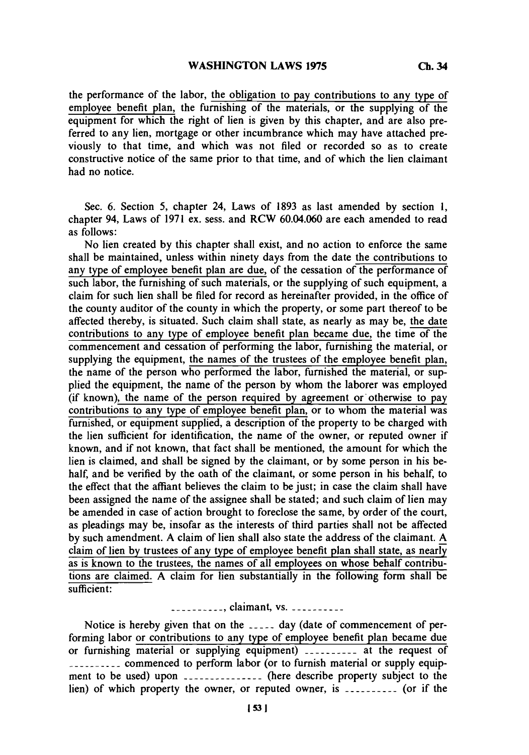the performance of the labor, the obligation to pay contributions to any type of employee benefit plan, the furnishing of the materials, or the supplying of the equipment for which the right of lien is given **by** this chapter, and are also preferred to any lien, mortgage or other incumbrance which may have attached previously to that time, and which was not filed or recorded so as to create constructive notice of the same prior to that time, and of which the lien claimant had no notice.

Sec. **6.** Section **5,** chapter 24, Laws of **1893** as last amended **by** section **1,** chapter 94, Laws of **1971** ex. sess. and RCW 60.04.060 are each amended to read as follows:

No lien created **by** this chapter shall exist, and no action to enforce the same shall be maintained, unless within ninety days from the date the contributions to any type of employee benefit plan are due, of the cessation of the performance of such labor, the furnishing of such materials, or the supplying of such equipment, a claim for such lien shall be filed for record as hereinafter provided, in the office of the county auditor of the county in which the property, or some part thereof to be affected thereby, is situated. Such claim shall state, as nearly as may be, the date contributions to any type of employee benefit plan became due, the time of the commencement and cessation of performing the labor, furnishing the material, or supplying the equipment, the names of the trustees of the employee benefit plan, the name of the person who performed the labor, furnished the material, or supplied the equipment, the name of the person **by** whom the laborer was employed (if known), the name of the person required **by** agreement or\* otherwise to pay contributions to any type of employee benefit plan, or to whom the material was furnished, or equipment supplied, a description of the property to be charged with the lien sufficient for identification, the name of the owner, or reputed owner if known, and if not known, that fact shall be mentioned, the amount for which the lien is claimed, and shall be signed **by** the claimant, or **by** some person in his behalf, and be verified **by** the oath of the claimant, or some person in his behalf, to the effect that the affiant believes the claim to be just; in case the claim shall have been assigned the name of the assignee shall be stated; and such claim of lien may be amended in case of action brought to foreclose the same, **by** order of the court, as pleadings may be, insofar as the interests of third parties shall not be affected **by** such amendment. **A** claim of lien shall also state the address of the claimant. **A** claim of lien **by** trustees of any type of employee benefit plan shall state, as nearly as is known to the trustees, the names of all employees on whose behalf contributions are claimed. **A** claim for lien substantially in the following form shall be sufficient:

**----------- ,** claimant, **vs.------**

Notice is hereby given that on the  $\frac{1}{2}$  day (date of commencement of performing labor or contributions to any type of employee benefit plan became due or furnishing material or supplying equipment) **----------** at the request of **----** -commenced to perform labor (or to furnish material or supply equipment to be used) upon **--------------** (here describe property subject to the lien) of which property the owner, or reputed owner, is **--------- (or** if the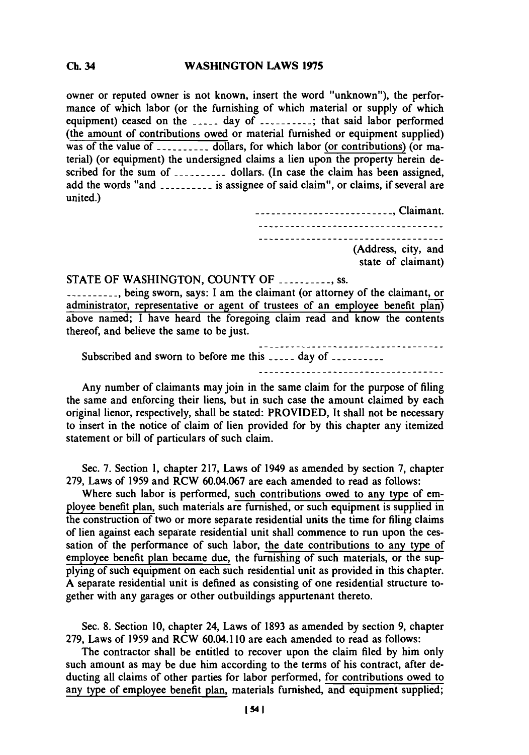## **WASHINGTON LAWS 1975 Ch.** 34

owner or reputed owner is not known, insert the word "unknown"), the performance of which labor (or the furnishing of which material or supply of which equipment) ceased on the **-----** day of **--------- ;** that said labor performed (the amount of contributions owed or material furnished or equipment supplied) was of the value of **--------- dollars,** for which labor (or contributions) (or material) (or equipment) the undersigned claims a lien upon the property herein described for the sum of **--------- dollars.** (in case the claim has been assigned, add the words "and **--------- is** assignee of said claim", or claims, if several are united.)

> ------ **---------------------------** Claimant. ------------------------------------------------------------------------(Address, city, and state of claimant)

## **STATE** OF **WASHINGTON, COUNTY** OF **--------- ss.**

**---- ---** being sworn, says: I am the claimant (or attorney of the claimant, or administrator, representative or agent of trustees of an employee benefit plan) above named; **I** have heard the foregoing claim read and know the contents thereof, and believe the same to be just.

| ------------------------------------<br>Subscribed and sworn to before me this  day of |
|----------------------------------------------------------------------------------------|
| -----------------------------------                                                    |

Any number of claimants may join in the same claim for the purpose of filing the same and enforcing their liens, but in such case the amount claimed **by** each original lienor, respectively, shall be stated: PROVIDED, It shall not be necessary to insert in the notice of claim of lien provided for **by** this chapter any itemized statement or bill of particulars of such claim.

Sec. **7.** Section **1,** chapter **217,** Laws of 1949 as amended **by** section **7,** chapter **279,** Laws of **1959** and RCW **60.04.067** are each amended to read as follows:

Where such labor is performed, such contributions owed to any type of employee benefit plan, such materials are furnished, or such equipment is supplied in the construction of two or more separate residential units the time for filing claims of lien against each separate residential unit shall commence to run upon the cessation of the performance of such labor, the date contributions to any type of employee benefit plan became due, the furnishing of such materials, or the supplying of such equipment on each such residential unit as provided in this chapter. **A** separate residential unit is defined as consisting of one residential structure together with any garages or other outbuildings appurtenant thereto.

Sec. **8.** Section **10,** chapter 24, Laws of **1893** as amended **by** section **9,** chapter **279,** Laws of **1959** and RCW 60.04.110 are each amended to read as follows:

The contractor shall be entitled to recover upon the claim filed **by** him only such amount as may be due him according to the terms of his contract, after deducting all claims of other parties for labor performed, for contributions owed to any type of employee benefit plan, materials furnished, and equipment supplied;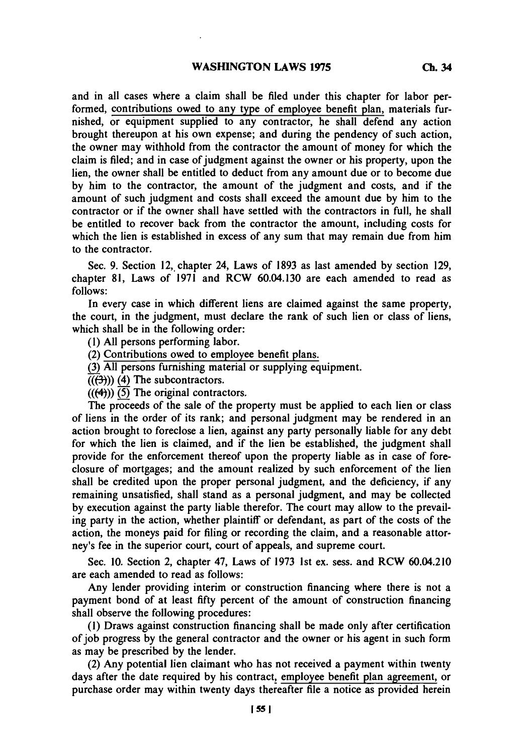and in all cases where a claim shall be filed under this chapter for labor performed, contributions owed to any type of employee benefit plan, materials furnished, or equipment supplied to any contractor, he shall defend any action brought thereupon at his own expense; and during the pendency of such action, the owner may withhold from the contractor the amount of money for which the claim is filed; and in case of judgment against the owner or his property, upon the lien, the owner shall be entitled to deduct from any amount due or to become due **by** him to the contractor, the amount of the judgment and costs, and if the amount of such judgment and costs shall exceed the amount due **by** him to the contractor or if the owner shall have settled with the contractors in full, he shall be entitled to recover back from the contractor the amount, including costs for which the lien is established in excess of any sum that may remain due from him to the contractor.

Sec. **9.** Section 12, chapter 24, Laws of **1893** as last amended **by** section **129,** chapter **81,** Laws of **1971** and RCW 60.04.130 are each amended to read as *follows:*

In every case in which different liens are claimed against the same property, the court, in the judgment, must declare the rank of such lien or class of liens, which shall be in the following order:

**(1) All** persons performing labor.

(2) Contributions owed to employee benefit plans.

**(3) All** persons furnishing material or supplying equipment.

 $((\left(\frac{1}{2}\right))$  (4) The subcontractors.

(((4))) **(5)** The original contractors.

The proceeds of the sale of the property must be applied to each lien or class of liens in the order of its rank; and personal judgment may be rendered in an action brought to foreclose a lien, against any party personally liable for any debt for which the lien is claimed, and if the lien be established, the judgment shall provide for the enforcement thereof upon the property liable as in case of foreclosure of mortgages; and the amount realized **by** such enforcement of the lien shall be credited upon the proper personal judgment, and the deficiency, if any remaining unsatisfied, shall stand as a personal judgment, and may be collected **by** execution against the party liable therefor. The court may allow to the prevailing party in the action, whether plaintiff or defendant, as part of the costs of the action, the moneys paid for filing or recording the claim, and a reasonable attorney's fee in the superior court, court of appeals, and supreme court.

Sec. **10.** Section 2, chapter 47, Laws of **1973** 1st ex. sess. and RCW 60.04.210 are each amended to read as follows:

Any lender providing interim or construction financing where there is not a payment bond of at least fifty percent of the amount of construction financing shall observe the following procedures:

**(1)** Draws against construction financing shall be made only after certification of **job** progress **by** the general contractor and the owner or his agent in such form as may be prescribed **by** the lender.

(2) Any potential lien claimant who has not received a payment within twenty days after the date required **by** his contract, employee benefit plan agreement, or purchase order may within twenty days thereafter file a notice as provided herein